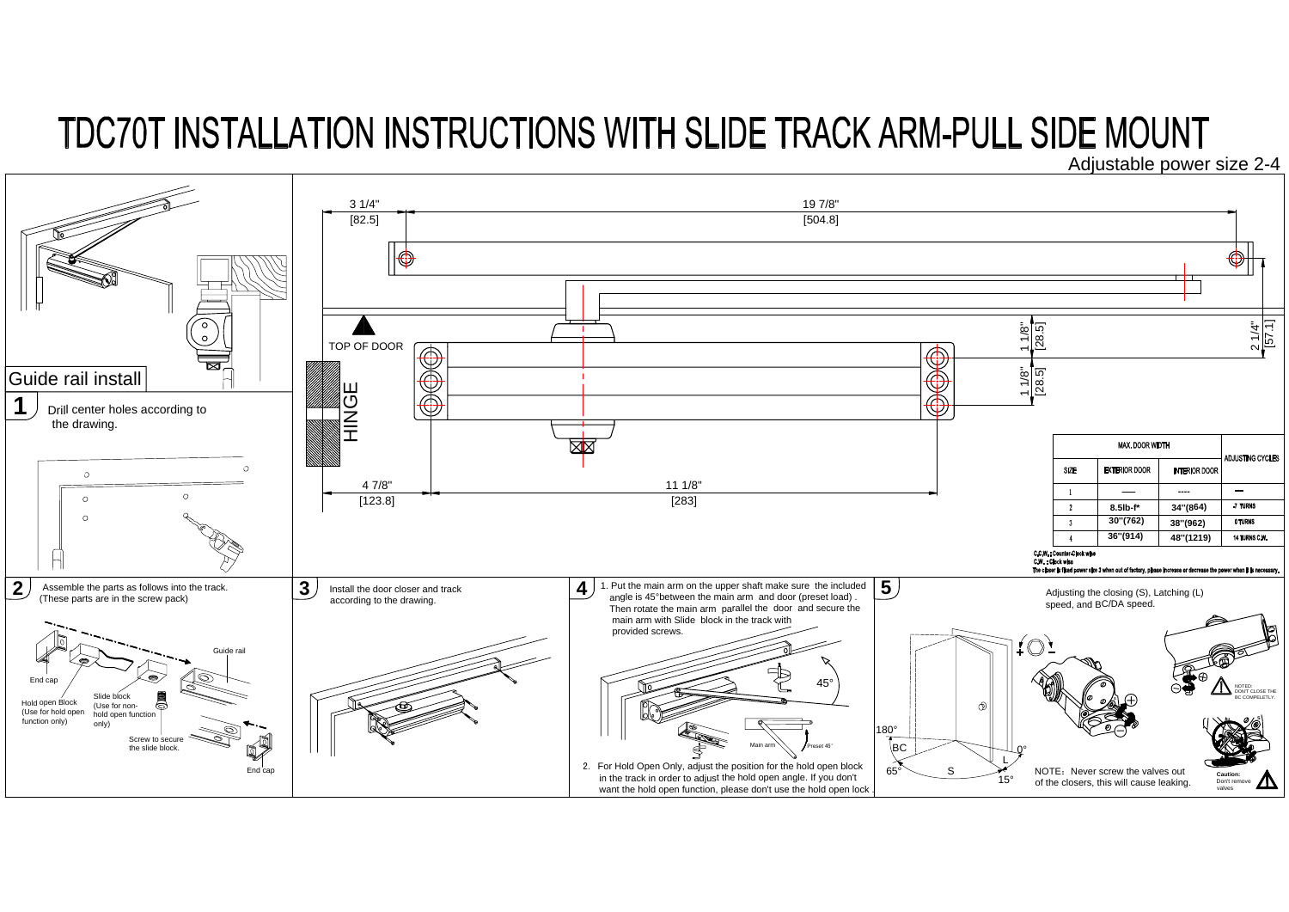## TDC70T INSTALLATION INSTRUCTIONS WITH SLIDE TRACK ARM-PULL SIDE MOUNT Adjustable power size 2-4